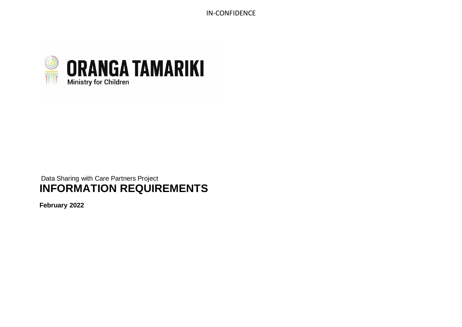

# Data Sharing with Care Partners Project **INFORMATION REQUIREMENTS**

**February 2022**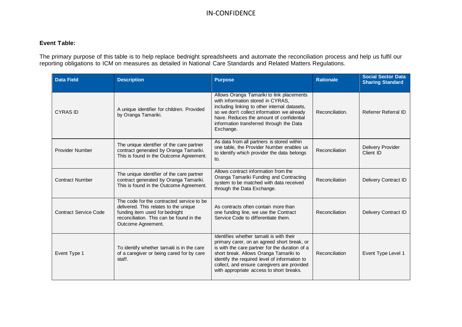#### **Event Table:**

The primary purpose of this table is to help replace bednight spreadsheets and automate the reconciliation process and help us fulfil our reporting obligations to ICM on measures as detailed in National Care Standards and Related Matters Regulations.

| <b>Data Field</b>            | <b>Description</b>                                                                                                                                                                     | <b>Purpose</b>                                                                                                                                                                                                                                                                                                                  | <b>Rationale</b> | <b>Social Sector Data</b><br><b>Sharing Standard</b> |
|------------------------------|----------------------------------------------------------------------------------------------------------------------------------------------------------------------------------------|---------------------------------------------------------------------------------------------------------------------------------------------------------------------------------------------------------------------------------------------------------------------------------------------------------------------------------|------------------|------------------------------------------------------|
| <b>CYRAS ID</b>              | A unique identifier for children. Provided<br>by Oranga Tamariki.                                                                                                                      | Allows Oranga Tamariki to link placements<br>with information stored in CYRAS,<br>including linking to other internal datasets,<br>so we don't collect information we already<br>have. Reduces the amount of confidential<br>information transferred through the Data<br>Exchange.                                              | Reconciliation.  | Referrer Referral ID                                 |
| <b>Provider Number</b>       | The unique identifier of the care partner<br>contract generated by Oranga Tamariki.<br>This is found in the Outcome Agreement.                                                         | As data from all partners is stored within<br>one table, the Provider Number enables us<br>to identify which provider the data belongs<br>to.                                                                                                                                                                                   | Reconciliation   | Delivery Provider<br>Client ID                       |
| <b>Contract Number</b>       | The unique identifier of the care partner<br>contract generated by Oranga Tamariki.<br>This is found in the Outcome Agreement.                                                         | Allows contract information from the<br>Oranga Tamariki Funding and Contracting<br>system to be matched with data received<br>through the Data Exchange.                                                                                                                                                                        | Reconciliation   | Delivery Contract ID                                 |
| <b>Contract Service Code</b> | The code for the contracted service to be<br>delivered. This relates to the unique<br>funding item used for bednight<br>reconciliation. This can be found in the<br>Outcome Agreement. | As contracts often contain more than<br>one funding line, we use the Contract<br>Service Code to differentiate them.                                                                                                                                                                                                            | Reconciliation   | Delivery Contract ID                                 |
| Event Type 1                 | To identify whether tamaiti is in the care<br>of a caregiver or being cared for by care<br>staff.                                                                                      | Identifies whether tamaiti is with their<br>primary carer, on an agreed short break, or<br>is with the care partner for the duration of a<br>short break. Allows Oranga Tamariki to<br>identify the required level of information to<br>collect, and ensure caregivers are provided<br>with appropriate access to short breaks. | Reconciliation   | Event Type Level 1                                   |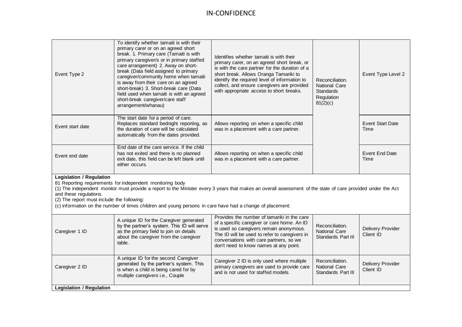| Event Type 2                                                                                                                                                                                                                                                                                                                                                                                                                                      | To identify whether tamaiti is with their<br>primary carer or on an agreed short<br>break. 1. Primary care (Tamaiti is with<br>primary caregiver/s or in primary staffed<br>care arrangement) 2. Away on short-<br>break (Data field assigned to primary<br>caregiver/community home when tamaiti<br>is away from their care on an agreed<br>short-break) 3. Short-break care (Data<br>field used when tamaiti is with an agreed<br>short-break caregiver/care staff<br>arrangement/whanau) | Identifies whether tamaiti is with their<br>primary carer, on an agreed short break, or<br>is with the care partner for the duration of a<br>short break. Allows Oranga Tamariki to<br>identify the required level of information to<br>collect, and ensure caregivers are provided<br>with appropriate access to short breaks. | Reconciliation.<br>National Care<br><b>Standards</b><br>Regulation<br>81(2)(c) | Event Type Level 2              |  |
|---------------------------------------------------------------------------------------------------------------------------------------------------------------------------------------------------------------------------------------------------------------------------------------------------------------------------------------------------------------------------------------------------------------------------------------------------|---------------------------------------------------------------------------------------------------------------------------------------------------------------------------------------------------------------------------------------------------------------------------------------------------------------------------------------------------------------------------------------------------------------------------------------------------------------------------------------------|---------------------------------------------------------------------------------------------------------------------------------------------------------------------------------------------------------------------------------------------------------------------------------------------------------------------------------|--------------------------------------------------------------------------------|---------------------------------|--|
| Event start date                                                                                                                                                                                                                                                                                                                                                                                                                                  | The start date for a period of care.<br>Replaces standard bednight reporting, as<br>the duration of care will be calculated<br>automatically from the dates provided.                                                                                                                                                                                                                                                                                                                       | Allows reporting on when a specific child<br>was in a placement with a care partner.                                                                                                                                                                                                                                            |                                                                                | <b>Event Start Date</b><br>Time |  |
| Event end date                                                                                                                                                                                                                                                                                                                                                                                                                                    | End date of the care service. If the child<br>has not exited and there is no planned<br>exit date, this field can be left blank until<br>either occurs.                                                                                                                                                                                                                                                                                                                                     | Allows reporting on when a specific child<br>was in a placement with a care partner.                                                                                                                                                                                                                                            |                                                                                | <b>Event End Date</b><br>Time   |  |
| <b>Legislation / Regulation</b><br>81 Reporting requirements for independent monitoring body<br>(1) The independent monitor must provide a report to the Minister every 3 years that makes an overall assessment of the state of care provided under the Act<br>and these regulations.<br>(2) The report must include the following:<br>(c) information on the number of times children and young persons in care have had a change of placement: |                                                                                                                                                                                                                                                                                                                                                                                                                                                                                             |                                                                                                                                                                                                                                                                                                                                 |                                                                                |                                 |  |
| Caregiver 1 ID                                                                                                                                                                                                                                                                                                                                                                                                                                    | A unique ID for the Caregiver generated<br>by the partner's system. This ID will serve<br>as the primary field to join on details<br>about the caregiver from the caregiver<br>table.                                                                                                                                                                                                                                                                                                       | Provides the number of tamariki in the care<br>of a specific caregiver or care home. An ID<br>is used so caregivers remain anonymous.<br>The ID will be used to refer to caregivers in<br>conversations with care partners, so we<br>don't need to know names at any point.                                                     | Reconciliation.<br>National Care<br>Standards Part III                         | Delivery Provider<br>Client ID  |  |
| Caregiver 2 ID                                                                                                                                                                                                                                                                                                                                                                                                                                    | A unique ID for the second Caregiver<br>generated by the partner's system. This<br>is when a child is being cared for by<br>multiple caregivers i.e., Couple                                                                                                                                                                                                                                                                                                                                | Caregiver 2 ID is only used where multiple<br>primary caregivers are used to provide care<br>and is not used for staffed models.                                                                                                                                                                                                | Reconciliation.<br>National Care<br>Standards Part III                         | Delivery Provider<br>Client ID  |  |
| <b>Legislation / Regulation</b>                                                                                                                                                                                                                                                                                                                                                                                                                   |                                                                                                                                                                                                                                                                                                                                                                                                                                                                                             |                                                                                                                                                                                                                                                                                                                                 |                                                                                |                                 |  |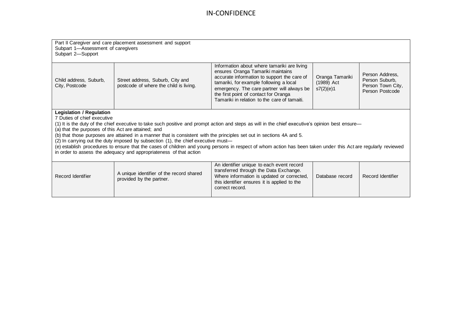| Part II Caregiver and care placement assessment and support<br>Subpart 1-Assessment of caregivers<br>Subpart 2-Support |                                                                                                                       |                                                                                                                                                                                                                                                                                                                   |                                            |                                                                           |  |
|------------------------------------------------------------------------------------------------------------------------|-----------------------------------------------------------------------------------------------------------------------|-------------------------------------------------------------------------------------------------------------------------------------------------------------------------------------------------------------------------------------------------------------------------------------------------------------------|--------------------------------------------|---------------------------------------------------------------------------|--|
| Child address, Suburb,<br>City, Postcode                                                                               | Street address, Suburb, City and<br>postcode of where the child is living.                                            | Information about where tamariki are living<br>ensures Oranga Tamariki maintains<br>accurate information to support the care of<br>tamariki, for example following a local<br>emergency. The care partner will always be<br>the first point of contact for Oranga<br>Tamariki in relation to the care of tamaiti. | Oranga Tamariki<br>(1989) Act<br>s7(2)(e)1 | Person Address,<br>Person Suburb,<br>Person Town City,<br>Person Postcode |  |
| <b>Legislation / Regulation</b>                                                                                        |                                                                                                                       |                                                                                                                                                                                                                                                                                                                   |                                            |                                                                           |  |
| 7 Duties of chief executive                                                                                            |                                                                                                                       | (1) It is the duty of the chief executive to take such positive and prompt action and steps as will in the chief executive's opinion best ensure—                                                                                                                                                                 |                                            |                                                                           |  |
| (a) that the purposes of this Act are attained; and                                                                    |                                                                                                                       |                                                                                                                                                                                                                                                                                                                   |                                            |                                                                           |  |
|                                                                                                                        | (b) that those purposes are attained in a manner that is consistent with the principles set out in sections 4A and 5. |                                                                                                                                                                                                                                                                                                                   |                                            |                                                                           |  |
|                                                                                                                        | (2) In carrying out the duty imposed by subsection (1), the chief executive must—                                     |                                                                                                                                                                                                                                                                                                                   |                                            |                                                                           |  |
|                                                                                                                        | in order to assess the adequacy and appropriateness of that action                                                    | (e) establish procedures to ensure that the cases of children and young persons in respect of whom action has been taken under this Act are regularly reviewed                                                                                                                                                    |                                            |                                                                           |  |
|                                                                                                                        |                                                                                                                       |                                                                                                                                                                                                                                                                                                                   |                                            |                                                                           |  |
| Record Identifier                                                                                                      | A unique identifier of the record shared<br>provided by the partner.                                                  | An identifier unique to each event record<br>transferred through the Data Exchange.<br>Where information is updated or corrected,<br>this identifier ensures it is applied to the<br>correct record.                                                                                                              | Database record                            | Record Identifier                                                         |  |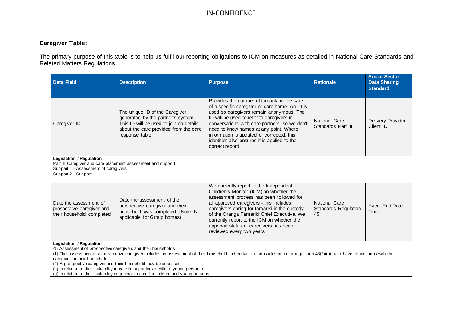#### **Caregiver Table:**

The primary purpose of this table is to help us fulfil our reporting obligations to ICM on measures as detailed in National Care Standards and Related Matters Regulations.

| <b>Data Field</b>                                                                                                                                          | <b>Description</b>                                                                                                                                                                                                                                     | <b>Purpose</b>                                                                                                                                                                                                                                                                                                                                                                                    | <b>Rationale</b>                                          | <b>Social Sector</b><br><b>Data Sharing</b><br><b>Standard</b> |
|------------------------------------------------------------------------------------------------------------------------------------------------------------|--------------------------------------------------------------------------------------------------------------------------------------------------------------------------------------------------------------------------------------------------------|---------------------------------------------------------------------------------------------------------------------------------------------------------------------------------------------------------------------------------------------------------------------------------------------------------------------------------------------------------------------------------------------------|-----------------------------------------------------------|----------------------------------------------------------------|
| Caregiver ID                                                                                                                                               | The unique ID of the Caregiver<br>generated by the partner's system.<br>This ID will be used to join on details<br>about the care provided from the care<br>response table.                                                                            | Provides the number of tamariki in the care<br>of a specific caregiver or care home. An ID is<br>used so caregivers remain anonymous. The<br>ID will be used to refer to caregivers in<br>conversations with care partners, so we don't<br>need to know names at any point. Where<br>information is updated or corrected, this<br>identifier also ensures it is applied to the<br>correct record. | <b>National Care</b><br>Standards Part III                | Delivery Provider<br>Client ID                                 |
| <b>Legislation / Regulation</b><br>Part III Caregiver and care placement assessment and support<br>Subpart 1-Assessment of caregivers<br>Subpart 2-Support |                                                                                                                                                                                                                                                        |                                                                                                                                                                                                                                                                                                                                                                                                   |                                                           |                                                                |
| Date the assessment of<br>prospective caregiver and<br>their household completed                                                                           | Date the assessment of the<br>prospective caregiver and their<br>household was completed. (Note: Not<br>applicable for Group homes)                                                                                                                    | We currently report to the Independent<br>Children's Monitor (ICM) on whether the<br>assessment process has been followed for<br>all approved caregivers - this includes<br>caregivers caring for tamariki in the custody<br>of the Oranga Tamariki Chief Executive. We<br>currently report to the ICM on whether the<br>approval status of caregivers has been<br>reviewed every two years.      | <b>National Care</b><br><b>Standards Regulation</b><br>45 | Event End Date<br>Time                                         |
| <b>Legislation / Regulation</b><br>45 Assessment of prospective caregivers and their households<br>caregiver or their household.                           | (2) A prospective caregiver and their household may be assessed-<br>(a) in relation to their suitability to care for a particular child or young person; or<br>(b) in relation to their suitability in general to care for children and young persons. | (1) The assessment of a prospective caregiver includes an assessment of their household and certain persons (described in regulation 48(2)(c)) who have connections with the                                                                                                                                                                                                                      |                                                           |                                                                |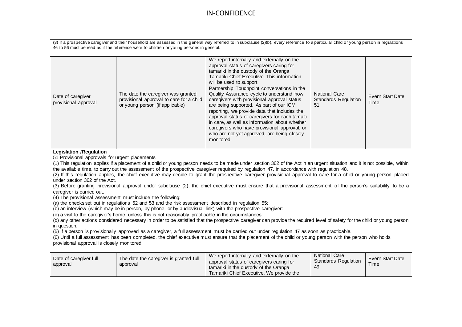|                                                                                                                                                                                                                                                                                                                                                                                                                                                                                                                                                                                                                                                                                                                                                                                                                                                                                                                                                                                                                                                                                                                                                                                                                                                                                                                                                                                                                                                                                                                                                                                                                                                                                                                                                                     | 46 to 56 must be read as if the reference were to children or young persons in general.                           | (3) If a prospective caregiver and their household are assessed in the general way referred to in subclause (2)(b), every reference to a particular child or young person in regulations                                                                                                                                                                                                                                                                                                                                                                                                                                                                       |                                                           |                                 |  |
|---------------------------------------------------------------------------------------------------------------------------------------------------------------------------------------------------------------------------------------------------------------------------------------------------------------------------------------------------------------------------------------------------------------------------------------------------------------------------------------------------------------------------------------------------------------------------------------------------------------------------------------------------------------------------------------------------------------------------------------------------------------------------------------------------------------------------------------------------------------------------------------------------------------------------------------------------------------------------------------------------------------------------------------------------------------------------------------------------------------------------------------------------------------------------------------------------------------------------------------------------------------------------------------------------------------------------------------------------------------------------------------------------------------------------------------------------------------------------------------------------------------------------------------------------------------------------------------------------------------------------------------------------------------------------------------------------------------------------------------------------------------------|-------------------------------------------------------------------------------------------------------------------|----------------------------------------------------------------------------------------------------------------------------------------------------------------------------------------------------------------------------------------------------------------------------------------------------------------------------------------------------------------------------------------------------------------------------------------------------------------------------------------------------------------------------------------------------------------------------------------------------------------------------------------------------------------|-----------------------------------------------------------|---------------------------------|--|
| Date of caregiver<br>provisional approval                                                                                                                                                                                                                                                                                                                                                                                                                                                                                                                                                                                                                                                                                                                                                                                                                                                                                                                                                                                                                                                                                                                                                                                                                                                                                                                                                                                                                                                                                                                                                                                                                                                                                                                           | The date the caregiver was granted<br>provisional approval to care for a child<br>or young person (if applicable) | We report internally and externally on the<br>approval status of caregivers caring for<br>tamariki in the custody of the Oranga<br>Tamariki Chief Executive. This information<br>will be used to support<br>Partnership Touchpoint conversations in the<br>Quality Assurance cycle to understand how<br>caregivers with provisional approval status<br>are being supported. As part of our ICM<br>reporting, we provide data that includes the<br>approval status of caregivers for each tamaiti<br>in care, as well as information about whether<br>caregivers who have provisional approval, or<br>who are not yet approved, are being closely<br>monitored. | <b>National Care</b><br><b>Standards Regulation</b><br>51 | <b>Event Start Date</b><br>Time |  |
| <b>Legislation /Regulation</b><br>51 Provisional approvals for urgent placements<br>(1) This regulation applies if a placement of a child or young person needs to be made under section 362 of the Act in an urgent situation and it is not possible, within<br>the available time, to carry out the assessment of the prospective caregiver required by regulation 47, in accordance with regulation 48.<br>(2) If this regulation applies, the chief executive may decide to grant the prospective caregiver provisional approval to care for a child or young person placed<br>under section 362 of the Act.<br>(3) Before granting provisional approval under subclause (2), the chief executive must ensure that a provisional assessment of the person's suitability to be a<br>caregiver is carried out.<br>(4) The provisional assessment must include the following:<br>(a) the checks set out in regulations 52 and 53 and the risk assessment described in regulation 55:<br>(b) an interview (which may be in person, by phone, or by audiovisual link) with the prospective caregiver:<br>(c) a visit to the caregiver's home, unless this is not reasonably practicable in the circumstances:<br>(d) any other actions considered necessary in order to be satisfied that the prospective caregiver can provide the required level of safety for the child or young person<br>in question.<br>(5) If a person is provisionally approved as a caregiver, a full assessment must be carried out under regulation 47 as soon as practicable.<br>(6) Until a full assessment has been completed, the chief executive must ensure that the placement of the child or young person with the person who holds<br>provisional approval is closely monitored. |                                                                                                                   |                                                                                                                                                                                                                                                                                                                                                                                                                                                                                                                                                                                                                                                                |                                                           |                                 |  |
| Date of caregiver full<br>approval                                                                                                                                                                                                                                                                                                                                                                                                                                                                                                                                                                                                                                                                                                                                                                                                                                                                                                                                                                                                                                                                                                                                                                                                                                                                                                                                                                                                                                                                                                                                                                                                                                                                                                                                  | The date the caregiver is granted full<br>approval                                                                | We report internally and externally on the<br>approval status of caregivers caring for<br>tamariki in the custody of the Oranga<br>Tamariki Chief Executive. We provide the                                                                                                                                                                                                                                                                                                                                                                                                                                                                                    | <b>National Care</b><br><b>Standards Regulation</b><br>49 | <b>Event Start Date</b><br>Time |  |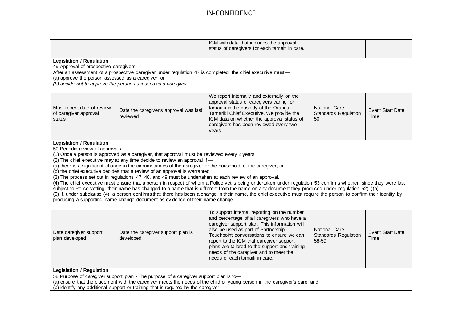|                                                                                                                                                                                                                                                                                                                                                                                                                                                                                                                                                                                                                                                                                                                                                                                                                                                                                                                                                                                                                                                                                                                                             |                                                    | ICM with data that includes the approval<br>status of caregivers for each tamaiti in care.                                                                                                                                                                                                                                                                                                                |                                                       |                                 |  |  |
|---------------------------------------------------------------------------------------------------------------------------------------------------------------------------------------------------------------------------------------------------------------------------------------------------------------------------------------------------------------------------------------------------------------------------------------------------------------------------------------------------------------------------------------------------------------------------------------------------------------------------------------------------------------------------------------------------------------------------------------------------------------------------------------------------------------------------------------------------------------------------------------------------------------------------------------------------------------------------------------------------------------------------------------------------------------------------------------------------------------------------------------------|----------------------------------------------------|-----------------------------------------------------------------------------------------------------------------------------------------------------------------------------------------------------------------------------------------------------------------------------------------------------------------------------------------------------------------------------------------------------------|-------------------------------------------------------|---------------------------------|--|--|
| <b>Legislation / Regulation</b><br>49 Approval of prospective caregivers<br>After an assessment of a prospective caregiver under regulation 47 is completed, the chief executive must-<br>(a) approve the person assessed as a caregiver; or<br>(b) decide not to approve the person assessed as a caregiver.                                                                                                                                                                                                                                                                                                                                                                                                                                                                                                                                                                                                                                                                                                                                                                                                                               |                                                    |                                                                                                                                                                                                                                                                                                                                                                                                           |                                                       |                                 |  |  |
| Most recent date of review<br>of caregiver approval<br>status                                                                                                                                                                                                                                                                                                                                                                                                                                                                                                                                                                                                                                                                                                                                                                                                                                                                                                                                                                                                                                                                               | Date the caregiver's approval was last<br>reviewed | We report internally and externally on the<br>approval status of caregivers caring for<br>tamariki in the custody of the Oranga<br>Tamariki Chief Executive. We provide the<br>ICM data on whether the approval status of<br>caregivers has been reviewed every two<br>years.                                                                                                                             | National Care<br><b>Standards Regulation</b><br>50    | <b>Event Start Date</b><br>Time |  |  |
| <b>Legislation / Regulation</b><br>50 Periodic review of approvals<br>(1) Once a person is approved as a caregiver, that approval must be reviewed every 2 years.<br>(2) The chief executive may at any time decide to review an approval if-<br>(a) there is a significant change in the circumstances of the caregiver or the household of the caregiver; or<br>(b) the chief executive decides that a review of an approval is warranted.<br>(3) The process set out in regulations 47, 48, and 49 must be undertaken at each review of an approval.<br>(4) The chief executive must ensure that a person in respect of whom a Police vet is being undertaken under regulation 53 confirms whether, since they were last<br>subject to Police vetting, their name has changed to a name that is different from the name on any document they produced under regulation 52(1)(b).<br>(5) If, under subclause (4), a person confirms that there has been a change in their name, the chief executive must require the person to confirm their identity by<br>producing a supporting name-change document as evidence of their name change. |                                                    |                                                                                                                                                                                                                                                                                                                                                                                                           |                                                       |                                 |  |  |
| Date caregiver support<br>plan developed                                                                                                                                                                                                                                                                                                                                                                                                                                                                                                                                                                                                                                                                                                                                                                                                                                                                                                                                                                                                                                                                                                    | Date the caregiver support plan is<br>developed    | To support internal reporting on the number<br>and percentage of all caregivers who have a<br>caregiver support plan. This information will<br>also be used as part of Partnership<br>Touchpoint conversations to ensure we can<br>report to the ICM that caregiver support<br>plans are tailored to the support and training<br>needs of the caregiver and to meet the<br>needs of each tamaiti in care. | <b>National Care</b><br>Standards Regulation<br>58-59 | <b>Event Start Date</b><br>Time |  |  |
| <b>Legislation / Regulation</b><br>58 Purpose of caregiver support plan - The purpose of a caregiver support plan is to-<br>(a) ensure that the placement with the caregiver meets the needs of the child or young person in the caregiver's care; and<br>(b) identify any additional support or training that is required by the caregiver.                                                                                                                                                                                                                                                                                                                                                                                                                                                                                                                                                                                                                                                                                                                                                                                                |                                                    |                                                                                                                                                                                                                                                                                                                                                                                                           |                                                       |                                 |  |  |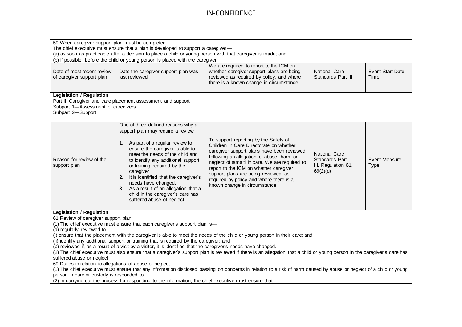| 59 When caregiver support plan must be completed<br>The chief executive must ensure that a plan is developed to support a caregiver-<br>(a) as soon as practicable after a decision to place a child or young person with that caregiver is made; and<br>(b) if possible, before the child or young person is placed with the caregiver.                                                                                                                                                                                                                                                                                                                                                                                                                                                                                                                                                                                                                                                                                                                                                                                             |                                                                                                                                                                                                                                                                                                                                                                                                                                                       |                                                                                                                                                                                                                                                                                                                                                                                             |                                                                           |                                     |  |
|--------------------------------------------------------------------------------------------------------------------------------------------------------------------------------------------------------------------------------------------------------------------------------------------------------------------------------------------------------------------------------------------------------------------------------------------------------------------------------------------------------------------------------------------------------------------------------------------------------------------------------------------------------------------------------------------------------------------------------------------------------------------------------------------------------------------------------------------------------------------------------------------------------------------------------------------------------------------------------------------------------------------------------------------------------------------------------------------------------------------------------------|-------------------------------------------------------------------------------------------------------------------------------------------------------------------------------------------------------------------------------------------------------------------------------------------------------------------------------------------------------------------------------------------------------------------------------------------------------|---------------------------------------------------------------------------------------------------------------------------------------------------------------------------------------------------------------------------------------------------------------------------------------------------------------------------------------------------------------------------------------------|---------------------------------------------------------------------------|-------------------------------------|--|
| Date of most recent review<br>of caregiver support plan                                                                                                                                                                                                                                                                                                                                                                                                                                                                                                                                                                                                                                                                                                                                                                                                                                                                                                                                                                                                                                                                              | Date the caregiver support plan was<br>last reviewed                                                                                                                                                                                                                                                                                                                                                                                                  | We are required to report to the ICM on<br>whether caregiver support plans are being<br>reviewed as required by policy, and where<br>there is a known change in circumstance.                                                                                                                                                                                                               | <b>National Care</b><br>Standards Part III                                | <b>Event Start Date</b><br>Time     |  |
| <b>Legislation / Regulation</b><br>Part III Caregiver and care placement assessment and support<br>Subpart 1-Assessment of caregivers<br>Subpart 2-Support                                                                                                                                                                                                                                                                                                                                                                                                                                                                                                                                                                                                                                                                                                                                                                                                                                                                                                                                                                           |                                                                                                                                                                                                                                                                                                                                                                                                                                                       |                                                                                                                                                                                                                                                                                                                                                                                             |                                                                           |                                     |  |
| Reason for review of the<br>support plan                                                                                                                                                                                                                                                                                                                                                                                                                                                                                                                                                                                                                                                                                                                                                                                                                                                                                                                                                                                                                                                                                             | One of three defined reasons why a<br>support plan may require a review<br>1. As part of a regular review to<br>ensure the caregiver is able to<br>meet the needs of the child and<br>to identify any additional support<br>or training required by the<br>caregiver.<br>2. It is identified that the caregiver's<br>needs have changed.<br>3. As a result of an allegation that a<br>child in the caregiver's care has<br>suffered abuse of neglect. | To support reporting by the Safety of<br>Children in Care Directorate on whether<br>caregiver support plans have been reviewed<br>following an allegation of abuse, harm or<br>neglect of tamaiti in care. We are required to<br>report to the ICM on whether caregiver<br>support plans are being reviewed, as<br>required by policy and where there is a<br>known change in circumstance. | <b>National Care</b><br>Standards Part<br>III, Regulation 61,<br>69(2)(d) | <b>Event Measure</b><br><b>Type</b> |  |
| <b>Legislation / Regulation</b><br>61 Review of caregiver support plan<br>(1) The chief executive must ensure that each caregiver's support plan is-<br>(a) regularly reviewed to-<br>(i) ensure that the placement with the caregiver is able to meet the needs of the child or young person in their care; and<br>(ii) identify any additional support or training that is required by the caregiver; and<br>(b) reviewed if, as a result of a visit by a visitor, it is identified that the caregiver's needs have changed.<br>(2) The chief executive must also ensure that a caregiver's support plan is reviewed if there is an allegation that a child or young person in the caregiver's care has<br>suffered abuse or neglect.<br>69 Duties in relation to allegations of abuse or neglect<br>(1) The chief executive must ensure that any information disclosed passing on concerns in relation to a risk of harm caused by abuse or neglect of a child or young<br>person in care or custody is responded to.<br>(2) In carrying out the process for responding to the information, the chief executive must ensure that- |                                                                                                                                                                                                                                                                                                                                                                                                                                                       |                                                                                                                                                                                                                                                                                                                                                                                             |                                                                           |                                     |  |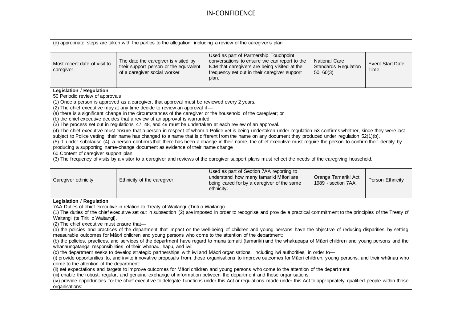|                                                                                                                                                                                | (d) appropriate steps are taken with the parties to the allegation, including a review of the caregiver's plan.                                                                                                                                                                                                                                                                                                                                                                                                                                                   |                                                                                                                                                                                                                                                                                                                                                                                                                                                                                                                                                                                                                                                                                                                                                                                                                                                                                                                                                                                                                                                                                                                                                                                                                                                                                   |                                                                  |                                 |
|--------------------------------------------------------------------------------------------------------------------------------------------------------------------------------|-------------------------------------------------------------------------------------------------------------------------------------------------------------------------------------------------------------------------------------------------------------------------------------------------------------------------------------------------------------------------------------------------------------------------------------------------------------------------------------------------------------------------------------------------------------------|-----------------------------------------------------------------------------------------------------------------------------------------------------------------------------------------------------------------------------------------------------------------------------------------------------------------------------------------------------------------------------------------------------------------------------------------------------------------------------------------------------------------------------------------------------------------------------------------------------------------------------------------------------------------------------------------------------------------------------------------------------------------------------------------------------------------------------------------------------------------------------------------------------------------------------------------------------------------------------------------------------------------------------------------------------------------------------------------------------------------------------------------------------------------------------------------------------------------------------------------------------------------------------------|------------------------------------------------------------------|---------------------------------|
| Most recent date of visit to<br>caregiver                                                                                                                                      | The date the caregiver is visited by<br>their support person or the equivalent<br>of a caregiver social worker                                                                                                                                                                                                                                                                                                                                                                                                                                                    | Used as part of Partnership Touchpoint<br>conversations to ensure we can report to the<br>ICM that caregivers are being visited at the<br>frequency set out in their caregiver support<br>plan.                                                                                                                                                                                                                                                                                                                                                                                                                                                                                                                                                                                                                                                                                                                                                                                                                                                                                                                                                                                                                                                                                   | <b>National Care</b><br><b>Standards Regulation</b><br>50, 60(3) | <b>Event Start Date</b><br>Time |
| <b>Legislation / Regulation</b><br>50 Periodic review of approvals<br>60 Content of caregiver support plan                                                                     | (1) Once a person is approved as a caregiver, that approval must be reviewed every 2 years.<br>(2) The chief executive may at any time decide to review an approval if-<br>(a) there is a significant change in the circumstances of the caregiver or the household of the caregiver; or<br>(b) the chief executive decides that a review of an approval is warranted.<br>(3) The process set out in regulations 47, 48, and 49 must be undertaken at each review of an approval.<br>producing a supporting name-change document as evidence of their name change | (4) The chief executive must ensure that a person in respect of whom a Police vet is being undertaken under regulation 53 confirms whether, since they were last<br>subject to Police vetting, their name has changed to a name that is different from the name on any document they produced under regulation 52(1)(b).<br>(5) If, under subclause (4), a person confirms that there has been a change in their name, the chief executive must require the person to confirm their identity by<br>(3) The frequency of visits by a visitor to a caregiver and reviews of the caregiver support plans must reflect the needs of the caregiving household.                                                                                                                                                                                                                                                                                                                                                                                                                                                                                                                                                                                                                         |                                                                  |                                 |
| Caregiver ethnicity                                                                                                                                                            | Ethnicity of the caregiver                                                                                                                                                                                                                                                                                                                                                                                                                                                                                                                                        | Used as part of Section 7AA reporting to<br>understand how many tamariki Māori are<br>being cared for by a caregiver of the same<br>ethnicity.                                                                                                                                                                                                                                                                                                                                                                                                                                                                                                                                                                                                                                                                                                                                                                                                                                                                                                                                                                                                                                                                                                                                    | Oranga Tamariki Act<br>1989 - section 7AA                        | Person Ethnicity                |
| <b>Legislation / Regulation</b><br>Waitangi (te Tiriti o Waitangi).<br>(2) The chief executive must ensure that-<br>come to the attention of the department:<br>organisations: | 7AA Duties of chief executive in relation to Treaty of Waitangi (Tiriti o Waitangi)<br>measurable outcomes for Māori children and young persons who come to the attention of the department:<br>whanaungatanga responsibilities of their whanau, hapu, and iwi:                                                                                                                                                                                                                                                                                                   | (1) The duties of the chief executive set out in subsection (2) are imposed in order to recognise and provide a practical commitment to the principles of the Treaty of<br>(a) the policies and practices of the department that impact on the well-being of children and young persons have the objective of reducing disparities by setting<br>(b) the policies, practices, and services of the department have regard to mana tamaiti (tamariki) and the whakapapa of Māori children and young persons and the<br>(c) the department seeks to develop strategic partnerships with iwi and Māori organisations, including iwi authorities, in order to-<br>(i) provide opportunities to, and invite innovative proposals from, those organisations to improve outcomes for Māori children, young persons, and their whānau who<br>(ii) set expectations and targets to improve outcomes for Māori children and young persons who come to the attention of the department:<br>(iii) enable the robust, regular, and genuine exchange of information between the department and those organisations:<br>(iv) provide opportunities for the chief executive to delegate functions under this Act or regulations made under this Act to appropriately qualified people within those |                                                                  |                                 |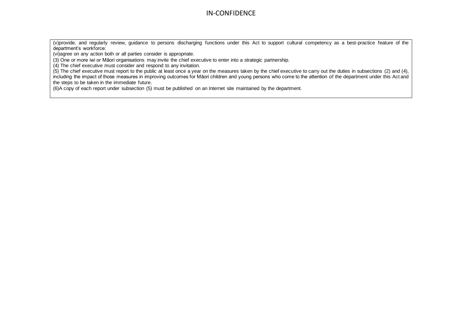(v)provide, and regularly review, guidance to persons discharging functions under this Act to support cultural competency as a best-practice feature of the department's workforce:

(vi)agree on any action both or all parties consider is appropriate.

(3) One or more iwi or Māori organisations may invite the chief executive to enter into a strategic partnership.

(4) The chief executive must consider and respond to any invitation.

(5) The chief executive must report to the public at least once a year on the measures taken by the chief executive to carry out the duties in subsections (2) and (4), including the impact of those measures in improving outcomes for Māori children and young persons who come to the attention of the department under this Act and the steps to be taken in the immediate future.

(6)A copy of each report under subsection (5) must be published on an Internet site maintained by the department.